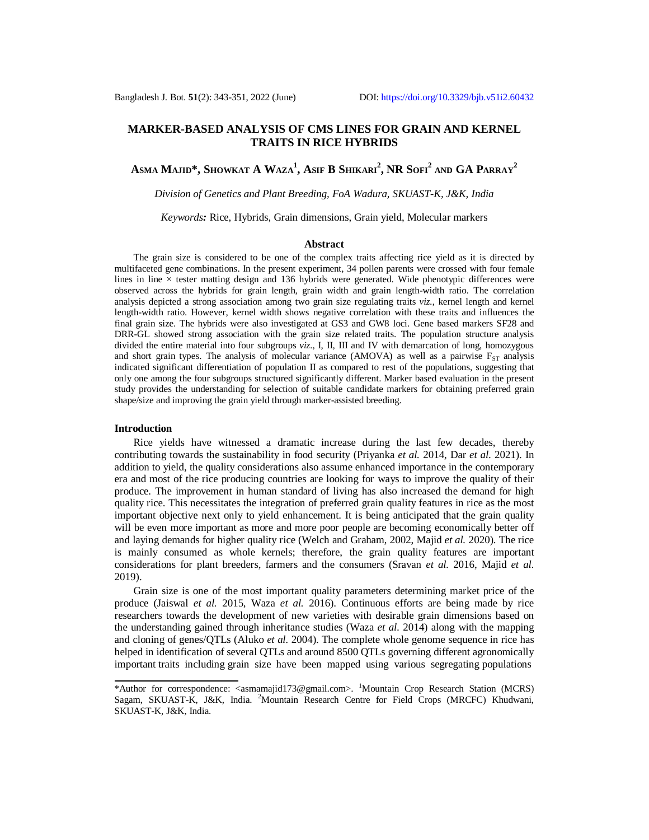# **MARKER-BASED ANALYSIS OF CMS LINES FOR GRAIN AND KERNEL TRAITS IN RICE HYBRIDS**

Asma Majid\*, Showkat A Waza<sup>1</sup>, Asif B Shikari<sup>2</sup>, NR Sofi<sup>2</sup> and GA Parray<sup>2</sup>

*Division of Genetics and Plant Breeding, FoA Wadura, SKUAST-K, J&K, India*

*Keywords:* Rice, Hybrids, Grain dimensions, Grain yield, Molecular markers

### **Abstract**

The grain size is considered to be one of the complex traits affecting rice yield as it is directed by multifaceted gene combinations. In the present experiment, 34 pollen parents were crossed with four female lines in line  $\times$  tester matting design and 136 hybrids were generated. Wide phenotypic differences were observed across the hybrids for grain length, grain width and grain length-width ratio. The correlation analysis depicted a strong association among two grain size regulating traits *viz.,* kernel length and kernel length-width ratio. However, kernel width shows negative correlation with these traits and influences the final grain size. The hybrids were also investigated at GS3 and GW8 loci. Gene based markers SF28 and DRR-GL showed strong association with the grain size related traits. The population structure analysis divided the entire material into four subgroups *viz.,* I, II, III and IV with demarcation of long, homozygous and short grain types. The analysis of molecular variance (AMOVA) as well as a pairwise  $F_{ST}$  analysis indicated significant differentiation of population II as compared to rest of the populations, suggesting that only one among the four subgroups structured significantly different. Marker based evaluation in the present study provides the understanding for selection of suitable candidate markers for obtaining preferred grain shape/size and improving the grain yield through marker-assisted breeding.

#### **Introduction**

Rice yields have witnessed a dramatic increase during the last few decades, thereby contributing towards the sustainability in food security (Priyanka *et al.* 2014, Dar *et al*. 2021). In addition to yield, the quality considerations also assume enhanced importance in the contemporary era and most of the rice producing countries are looking for ways to improve the quality of their produce. The improvement in human standard of living has also increased the demand for high quality rice. This necessitates the integration of preferred grain quality features in rice as the most important objective next only to yield enhancement. It is being anticipated that the grain quality will be even more important as more and more poor people are becoming economically better off and laying demands for higher quality rice (Welch and Graham, 2002, Majid *et al.* 2020). The rice is mainly consumed as whole kernels; therefore, the grain quality features are important considerations for plant breeders, farmers and the consumers (Sravan *et al.* 2016, Majid *et al.* 2019).

Grain size is one of the most important quality parameters determining market price of the produce (Jaiswal *et al.* 2015, Waza *et al.* 2016). Continuous efforts are being made by rice researchers towards the development of new varieties with desirable grain dimensions based on the understanding gained through inheritance studies (Waza *et al.* 2014) along with the mapping and cloning of genes/QTLs (Aluko *et al.* 2004). The complete whole genome sequence in rice has helped in identification of several QTLs and around 8500 QTLs governing different agronomically important traits including grain size have been mapped using various segregating populations

<sup>\*</sup>Author for correspondence: [<asmamajid173@gmail.com](mailto:asmamajid173@gmail.com)>. <sup>1</sup>Mountain Crop Research Station (MCRS) Sagam, SKUAST-K, J&K, India. <sup>2</sup>Mountain Research Centre for Field Crops (MRCFC) Khudwani, SKUAST-K, J&K, India.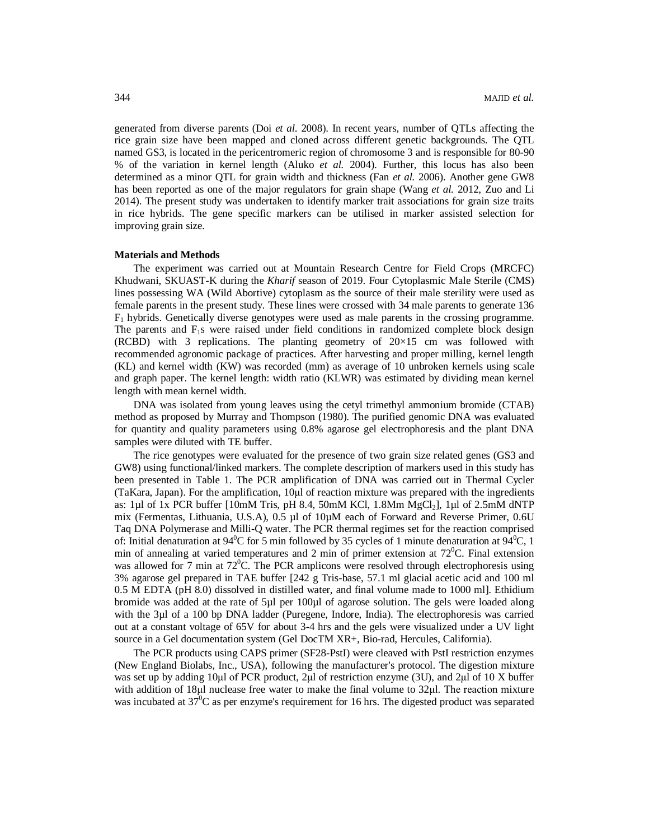generated from diverse parents (Doi *et al*. 2008). In recent years, number of QTLs affecting the rice grain size have been mapped and cloned across different genetic backgrounds. The QTL named GS3, is located in the pericentromeric region of chromosome 3 and is responsible for 80-90 % of the variation in kernel length (Aluko *et al.* 2004). Further, this locus has also been determined as a minor QTL for grain width and thickness (Fan *et al.* 2006). Another gene GW8 has been reported as one of the major regulators for grain shape (Wang *et al.* 2012, Zuo and Li 2014). The present study was undertaken to identify marker trait associations for grain size traits in rice hybrids. The gene specific markers can be utilised in marker assisted selection for improving grain size.

### **Materials and Methods**

The experiment was carried out at Mountain Research Centre for Field Crops (MRCFC) Khudwani, SKUAST-K during the *Kharif* season of 2019. Four Cytoplasmic Male Sterile (CMS) lines possessing WA (Wild Abortive) cytoplasm as the source of their male sterility were used as female parents in the present study. These lines were crossed with 34 male parents to generate 136  $F_1$  hybrids. Genetically diverse genotypes were used as male parents in the crossing programme. The parents and  $F_1$ s were raised under field conditions in randomized complete block design (RCBD) with 3 replications. The planting geometry of  $20\times15$  cm was followed with recommended agronomic package of practices. After harvesting and proper milling, kernel length (KL) and kernel width (KW) was recorded (mm) as average of 10 unbroken kernels using scale and graph paper. The kernel length: width ratio (KLWR) was estimated by dividing mean kernel length with mean kernel width.

DNA was isolated from young leaves using the cetyl trimethyl ammonium bromide (CTAB) method as proposed by Murray and Thompson (1980). The purified genomic DNA was evaluated for quantity and quality parameters using 0.8% agarose gel electrophoresis and the plant DNA samples were diluted with TE buffer.

The rice genotypes were evaluated for the presence of two grain size related genes (GS3 and GW8) using functional/linked markers. The complete description of markers used in this study has been presented in Table 1. The PCR amplification of DNA was carried out in Thermal Cycler (TaKara, Japan). For the amplification, 10μl of reaction mixture was prepared with the ingredients as: 1µl of 1x PCR buffer  $[10mM$  Tris, pH 8.4, 50mM KCl, 1.8Mm  $MgCl<sub>2</sub>$ ], 1µl of 2.5mM dNTP mix (Fermentas, Lithuania, U.S.A), 0.5 µl of 10µM each of Forward and Reverse Primer, 0.6U Taq DNA Polymerase and Milli-Q water. The PCR thermal regimes set for the reaction comprised of: Initial denaturation at  $94^0C$  for 5 min followed by 35 cycles of 1 minute denaturation at  $94^0C$ , 1 min of annealing at varied temperatures and 2 min of primer extension at  $72^{\circ}$ C. Final extension was allowed for 7 min at  $72^{\circ}$ C. The PCR amplicons were resolved through electrophoresis using 3% agarose gel prepared in TAE buffer [242 g Tris-base, 57.1 ml glacial acetic acid and 100 ml 0.5 M EDTA (pH 8.0) dissolved in distilled water, and final volume made to 1000 ml]. Ethidium bromide was added at the rate of 5µl per 100µl of agarose solution. The gels were loaded along with the 3µl of a 100 bp DNA ladder (Puregene, Indore, India). The electrophoresis was carried out at a constant voltage of 65V for about 3-4 hrs and the gels were visualized under a UV light source in a Gel documentation system (Gel DocTM XR+, Bio-rad, Hercules, California).

The PCR products using CAPS primer (SF28-PstI) were cleaved with PstI restriction enzymes (New England Biolabs, Inc., USA), following the manufacturer's protocol. The digestion mixture was set up by adding 10μl of PCR product, 2μl of restriction enzyme (3U), and 2μl of 10 X buffer with addition of 18μl nuclease free water to make the final volume to 32μl. The reaction mixture was incubated at  $37^{\circ}$ C as per enzyme's requirement for 16 hrs. The digested product was separated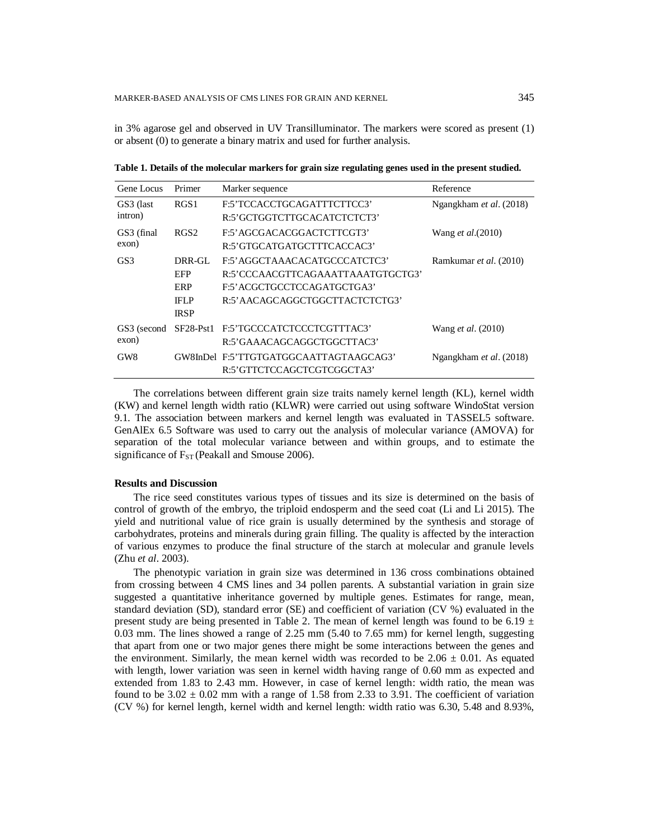in 3% agarose gel and observed in UV Transilluminator. The markers were scored as present (1) or absent (0) to generate a binary matrix and used for further analysis.

**Table 1. Details of the molecular markers for grain size regulating genes used in the present studied.**

| Gene Locus      | Primer           | Marker sequence                        | Reference                 |  |
|-----------------|------------------|----------------------------------------|---------------------------|--|
| GS3 (last       | RGS <sub>1</sub> | F:5'TCCACCTGCAGATTTCTTCC3'             | Ngangkham et al. (2018)   |  |
| intron)         |                  | R:5'GCTGGTCTTGCACATCTCTCT3'            |                           |  |
| GS3 (final      | RGS2             | F:5' AGCGACACGGACTCTTCGT3'             | Wang et al. (2010)        |  |
| exon)           |                  | R:5'GTGCATGATGCTTTCACCAC3'             |                           |  |
| GS <sub>3</sub> | DRR-GL           | F:5'AGGCTAAACACATGCCCATCTC3'           | Ramkumar et al. (2010)    |  |
|                 | EFP              | R:5'CCCAACGTTCAGAAATTAAATGTGCTG3'      |                           |  |
|                 | ERP              | F:5' ACGCTGCCTCCAGATGCTGA3'            |                           |  |
|                 | <b>IFLP</b>      | R:5'AACAGCAGGCTGGCTTACTCTCTG3'         |                           |  |
|                 | <b>IRSP</b>      |                                        |                           |  |
| GS3 (second     | SF28-Pst1        | F:5'TGCCCATCTCCCTCGTTTAC3'             | Wang <i>et al.</i> (2010) |  |
| exon)           |                  | R:5'GAAACAGCAGGCTGGCTTAC3'             |                           |  |
| GW <sub>8</sub> |                  | GW8InDel F:5'TTGTGATGGCAATTAGTAAGCAG3' | Ngangkham et al. (2018)   |  |
|                 |                  | R:5'GTTCTCCAGCTCGTCGGCTA3'             |                           |  |

The correlations between different grain size traits namely kernel length (KL), kernel width (KW) and kernel length width ratio (KLWR) were carried out using software WindoStat version 9.1. The association between markers and kernel length was evaluated in TASSEL5 software. GenAlEx 6.5 Software was used to carry out the analysis of molecular variance (AMOVA) for separation of the total molecular variance between and within groups, and to estimate the significance of  $F_{ST}$  (Peakall and Smouse 2006).

# **Results and Discussion**

The rice seed constitutes various types of tissues and its size is determined on the basis of control of growth of the embryo, the triploid endosperm and the seed coat (Li and Li 2015). The yield and nutritional value of rice grain is usually determined by the synthesis and storage of carbohydrates, proteins and minerals during grain filling. The quality is affected by the interaction of various enzymes to produce the final structure of the starch at molecular and granule levels (Zhu *et al*. 2003).

The phenotypic variation in grain size was determined in 136 cross combinations obtained from crossing between 4 CMS lines and 34 pollen parents. A substantial variation in grain size suggested a quantitative inheritance governed by multiple genes. Estimates for range, mean, standard deviation (SD), standard error (SE) and coefficient of variation (CV %) evaluated in the present study are being presented in Table 2. The mean of kernel length was found to be 6.19  $\pm$ 0.03 mm. The lines showed a range of 2.25 mm (5.40 to 7.65 mm) for kernel length, suggesting that apart from one or two major genes there might be some interactions between the genes and the environment. Similarly, the mean kernel width was recorded to be  $2.06 \pm 0.01$ . As equated with length, lower variation was seen in kernel width having range of 0.60 mm as expected and extended from 1.83 to 2.43 mm. However, in case of kernel length: width ratio, the mean was found to be  $3.02 \pm 0.02$  mm with a range of 1.58 from 2.33 to 3.91. The coefficient of variation (CV %) for kernel length, kernel width and kernel length: width ratio was 6.30, 5.48 and 8.93%,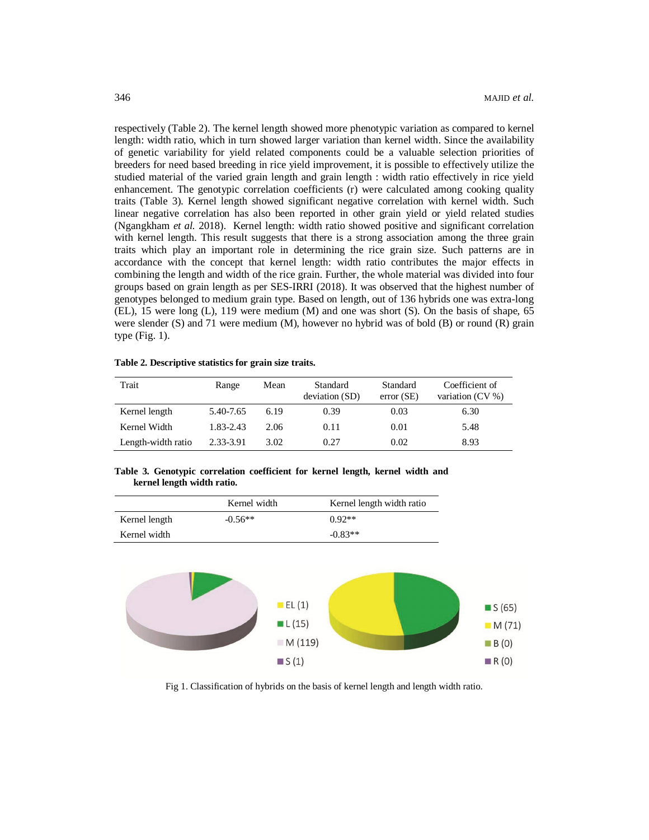respectively (Table 2). The kernel length showed more phenotypic variation as compared to kernel length: width ratio, which in turn showed larger variation than kernel width. Since the availability of genetic variability for yield related components could be a valuable selection priorities of breeders for need based breeding in rice yield improvement, it is possible to effectively utilize the studied material of the varied grain length and grain length : width ratio effectively in rice yield enhancement. The genotypic correlation coefficients (r) were calculated among cooking quality traits (Table 3). Kernel length showed significant negative correlation with kernel width. Such linear negative correlation has also been reported in other grain yield or yield related studies (Ngangkham *et al.* 2018). Kernel length: width ratio showed positive and significant correlation with kernel length. This result suggests that there is a strong association among the three grain traits which play an important role in determining the rice grain size. Such patterns are in accordance with the concept that kernel length: width ratio contributes the major effects in combining the length and width of the rice grain. Further, the whole material was divided into four groups based on grain length as per SES-IRRI (2018). It was observed that the highest number of genotypes belonged to medium grain type. Based on length, out of 136 hybrids one was extra-long (EL), 15 were long (L), 119 were medium (M) and one was short (S). On the basis of shape, 65 were slender (S) and 71 were medium (M), however no hybrid was of bold (B) or round (R) grain type (Fig. 1).

#### **Table 2. Descriptive statistics for grain size traits.**

| Trait              | Range     | Mean | Standard<br>deviation (SD) | Standard<br>error(SE) | Coefficient of<br>variation $(CV\%)$ |
|--------------------|-----------|------|----------------------------|-----------------------|--------------------------------------|
| Kernel length      | 5.40-7.65 | 6.19 | 0.39                       | 0.03                  | 6.30                                 |
| Kernel Width       | 1.83-2.43 | 2.06 | 0.11                       | 0.01                  | 5.48                                 |
| Length-width ratio | 2.33-3.91 | 3.02 | 0.27                       | 0.02                  | 8.93                                 |

# **Table 3. Genotypic correlation coefficient for kernel length, kernel width and kernel length width ratio.**

|               | Kernel width | Kernel length width ratio |
|---------------|--------------|---------------------------|
| Kernel length | $-0.56**$    | $0.92**$                  |
| Kernel width  |              | $-0.83**$                 |



Fig 1. Classification of hybrids on the basis of kernel length and length width ratio.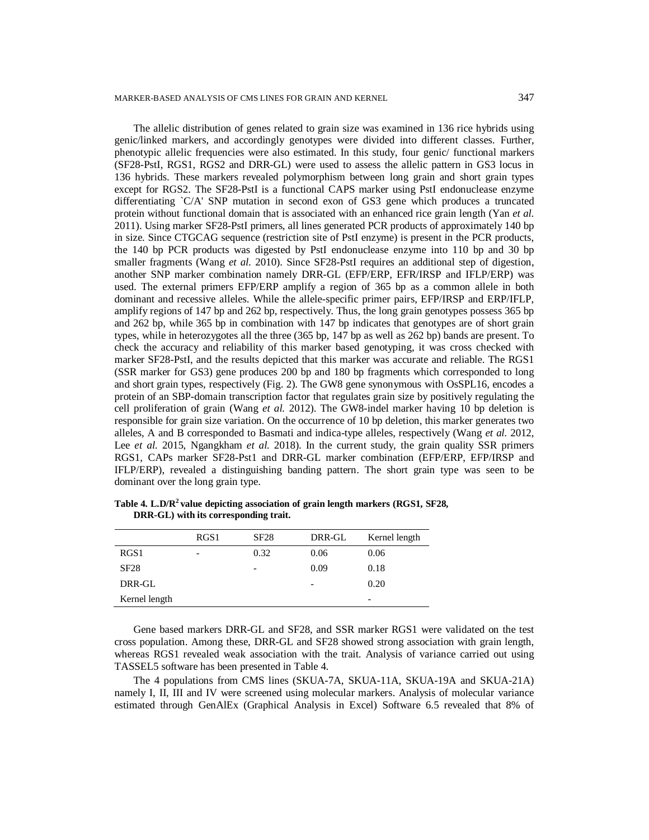The allelic distribution of genes related to grain size was examined in 136 rice hybrids using genic/linked markers, and accordingly genotypes were divided into different classes. Further, phenotypic allelic frequencies were also estimated. In this study, four genic/ functional markers (SF28-PstI, RGS1, RGS2 and DRR-GL) were used to assess the allelic pattern in GS3 locus in 136 hybrids. These markers revealed polymorphism between long grain and short grain types except for RGS2. The SF28-PstI is a functional CAPS marker using PstI endonuclease enzyme differentiating `C/A' SNP mutation in second exon of GS3 gene which produces a truncated protein without functional domain that is associated with an enhanced rice grain length (Yan *et al.* 2011). Using marker SF28-PstI primers, all lines generated PCR products of approximately 140 bp in size. Since CTGCAG sequence (restriction site of PstI enzyme) is present in the PCR products, the 140 bp PCR products was digested by PstI endonuclease enzyme into 110 bp and 30 bp smaller fragments (Wang *et al.* 2010). Since SF28-PstI requires an additional step of digestion, another SNP marker combination namely DRR-GL (EFP/ERP, EFR/IRSP and IFLP/ERP) was used. The external primers EFP/ERP amplify a region of 365 bp as a common allele in both dominant and recessive alleles. While the allele-specific primer pairs, EFP/IRSP and ERP/IFLP, amplify regions of 147 bp and 262 bp, respectively. Thus, the long grain genotypes possess 365 bp and 262 bp, while 365 bp in combination with 147 bp indicates that genotypes are of short grain types, while in heterozygotes all the three (365 bp, 147 bp as well as 262 bp) bands are present. To check the accuracy and reliability of this marker based genotyping, it was cross checked with marker SF28-PstI, and the results depicted that this marker was accurate and reliable. The RGS1 (SSR marker for GS3) gene produces 200 bp and 180 bp fragments which corresponded to long and short grain types, respectively (Fig. 2). The GW8 gene synonymous with OsSPL16, encodes a protein of an SBP-domain transcription factor that regulates grain size by positively regulating the cell proliferation of grain (Wang *et al.* 2012). The GW8-indel marker having 10 bp deletion is responsible for grain size variation. On the occurrence of 10 bp deletion, this marker generates two alleles, A and B corresponded to Basmati and indica-type alleles, respectively (Wang *et al.* 2012, Lee *et al.* 2015, Ngangkham *et al.* 2018). In the current study, the grain quality SSR primers RGS1, CAPs marker SF28-Pst1 and DRR-GL marker combination (EFP/ERP, EFP/IRSP and IFLP/ERP), revealed a distinguishing banding pattern. The short grain type was seen to be dominant over the long grain type.

|               | RGS1                     | <b>SF28</b>              | DRR-GL                   | Kernel length            |
|---------------|--------------------------|--------------------------|--------------------------|--------------------------|
| RGS1          | $\overline{\phantom{0}}$ | 0.32                     | 0.06                     | 0.06                     |
| <b>SF28</b>   |                          | $\overline{\phantom{0}}$ | 0.09                     | 0.18                     |
| DRR-GL        |                          |                          | $\overline{\phantom{a}}$ | 0.20                     |
| Kernel length |                          |                          |                          | $\overline{\phantom{a}}$ |

**Table 4. L.D/R<sup>2</sup>value depicting association of grain length markers (RGS1, SF28, DRR-GL) with its corresponding trait.**

Gene based markers DRR-GL and SF28, and SSR marker RGS1 were validated on the test cross population. Among these, DRR-GL and SF28 showed strong association with grain length, whereas RGS1 revealed weak association with the trait. Analysis of variance carried out using TASSEL5 software has been presented in Table 4.

The 4 populations from CMS lines (SKUA-7A, SKUA-11A, SKUA-19A and SKUA-21A) namely I, II, III and IV were screened using molecular markers. Analysis of molecular variance estimated through GenAlEx (Graphical Analysis in Excel) Software 6.5 revealed that 8% of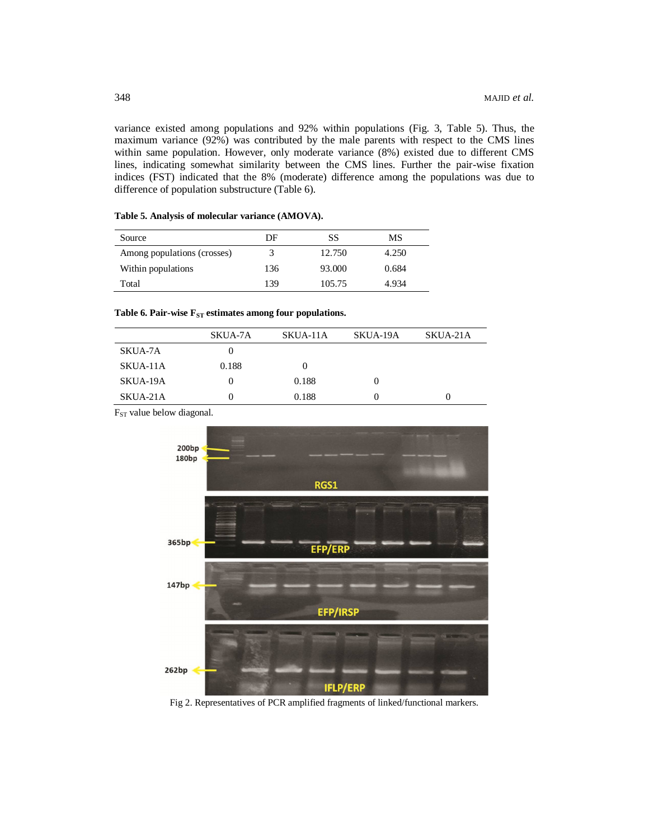variance existed among populations and 92% within populations (Fig. 3, Table 5). Thus, the maximum variance (92%) was contributed by the male parents with respect to the CMS lines within same population. However, only moderate variance (8%) existed due to different CMS lines, indicating somewhat similarity between the CMS lines. Further the pair-wise fixation indices (FST) indicated that the 8% (moderate) difference among the populations was due to difference of population substructure (Table 6).

| Source                      | DF  | SS     | MS    |
|-----------------------------|-----|--------|-------|
| Among populations (crosses) | 3   | 12.750 | 4.250 |
| Within populations          | 136 | 93.000 | 0.684 |
| Total                       | 139 | 105.75 | 4.934 |

| Table 5. Analysis of molecular variance (AMOVA). |  |  |  |
|--------------------------------------------------|--|--|--|
|--------------------------------------------------|--|--|--|

| Table 6. Pair-wise $F_{ST}$ estimates among four populations. |  |
|---------------------------------------------------------------|--|
|---------------------------------------------------------------|--|

|          | SKUA-7A | SKUA-11A | SKUA-19A | SKUA-21A |
|----------|---------|----------|----------|----------|
| SKUA-7A  |         |          |          |          |
| SKUA-11A | 0.188   |          |          |          |
| SKUA-19A |         | 0.188    |          |          |
| SKUA-21A |         | 0.188    |          |          |

F<sub>ST</sub> value below diagonal.



Fig 2. Representatives of PCR amplified fragments of linked/functional markers.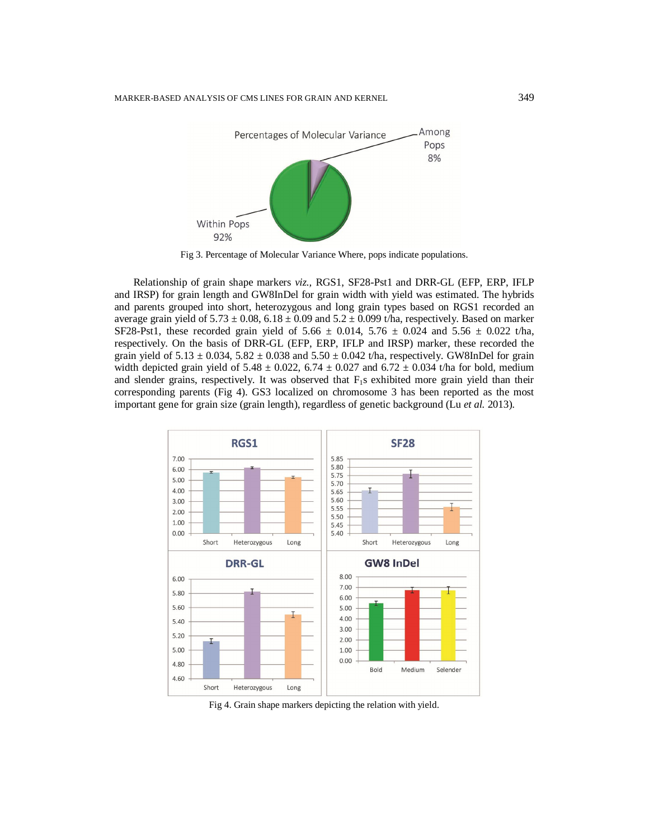

Fig 3. Percentage of Molecular Variance Where, pops indicate populations.

Relationship of grain shape markers *viz.,* RGS1, SF28-Pst1 and DRR-GL (EFP, ERP, IFLP and IRSP) for grain length and GW8InDel for grain width with yield was estimated. The hybrids and parents grouped into short, heterozygous and long grain types based on RGS1 recorded an average grain yield of  $5.73 \pm 0.08$ ,  $6.18 \pm 0.09$  and  $5.2 \pm 0.099$  t/ha, respectively. Based on marker SF28-Pst1, these recorded grain yield of 5.66  $\pm$  0.014, 5.76  $\pm$  0.024 and 5.56  $\pm$  0.022 t/ha, respectively. On the basis of DRR-GL (EFP, ERP, IFLP and IRSP) marker, these recorded the grain yield of  $5.13 \pm 0.034$ ,  $5.82 \pm 0.038$  and  $5.50 \pm 0.042$  t/ha, respectively. GW8InDel for grain width depicted grain yield of  $5.48 \pm 0.022$ ,  $6.74 \pm 0.027$  and  $6.72 \pm 0.034$  t/ha for bold, medium and slender grains, respectively. It was observed that  $F_1s$  exhibited more grain yield than their corresponding parents (Fig 4). GS3 localized on chromosome 3 has been reported as the most important gene for grain size (grain length), regardless of genetic background (Lu *et al.* 2013).



Fig 4. Grain shape markers depicting the relation with yield.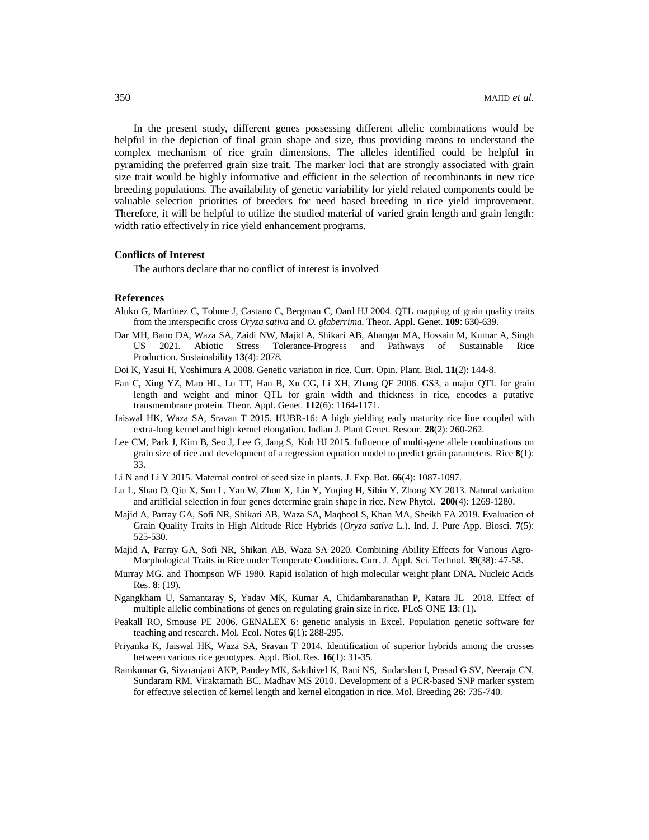In the present study, different genes possessing different allelic combinations would be helpful in the depiction of final grain shape and size, thus providing means to understand the complex mechanism of rice grain dimensions. The alleles identified could be helpful in pyramiding the preferred grain size trait. The marker loci that are strongly associated with grain size trait would be highly informative and efficient in the selection of recombinants in new rice breeding populations. The availability of genetic variability for yield related components could be valuable selection priorities of breeders for need based breeding in rice yield improvement. Therefore, it will be helpful to utilize the studied material of varied grain length and grain length: width ratio effectively in rice yield enhancement programs.

### **Conflicts of Interest**

The authors declare that no conflict of interest is involved

### **References**

- Aluko G, Martinez C, Tohme J, Castano C, Bergman C, Oard HJ 2004. QTL mapping of grain quality traits from the interspecific cross *Oryza sativa* and *O. glaberrima*. Theor. Appl. Genet. **109**: 630-639.
- Dar MH, Bano DA, Waza SA, Zaidi NW, Majid A, Shikari AB, Ahangar MA, Hossain M, Kumar A, Singh US 2021. Abiotic Stress Tolerance-Progress and Pathways of Sustainable Rice Production. Sustainability **13**(4): 2078.
- Doi K, Yasui H, Yoshimura A 2008. Genetic variation in rice. Curr. Opin. Plant. Biol*.* **11**(2): 144-8.
- Fan C, Xing YZ, Mao HL, Lu TT, Han B, Xu CG, Li XH, Zhang QF 2006. GS3, a major QTL for grain length and weight and minor QTL for grain width and thickness in rice, encodes a putative transmembrane protein. Theor. Appl. Genet. **112**(6): 1164-1171.
- Jaiswal HK, Waza SA, Sravan T 2015. HUBR-16: A high yielding early maturity rice line coupled with extra-long kernel and high kernel elongation. Indian J. Plant Genet. Resour. **28**(2): 260-262.
- Lee CM, Park J, Kim B, Seo J, Lee G, Jang S, Koh HJ 2015. Influence of multi-gene allele combinations on grain size of rice and development of a regression equation model to predict grain parameters. Rice **8**(1): 33.
- Li N and Li Y 2015. Maternal control of seed size in plants. J. Exp. Bot. **66**(4): 1087-1097.
- Lu L, Shao D, Qiu X, Sun L, Yan W, Zhou X, Lin Y, Yuqing H, Sibin Y, Zhong XY 2013. Natural variation and artificial selection in four genes determine grain shape in rice. New Phytol. **200**(4): 1269-1280.
- Majid A, Parray GA, Sofi NR, Shikari AB, Waza SA, Maqbool S, Khan MA, Sheikh FA 2019. Evaluation of Grain Quality Traits in High Altitude Rice Hybrids (*Oryza sativa* L.). Ind. J. Pure App. Biosci. **7**(5): 525-530.
- Majid A, Parray GA, Sofi NR, Shikari AB, Waza SA 2020. Combining Ability Effects for Various Agro-Morphological Traits in Rice under Temperate Conditions. Curr. J. Appl. Sci. Technol. **39**(38): 47-58.
- Murray MG. and Thompson WF 1980. Rapid isolation of high molecular weight plant DNA. Nucleic Acids Res. **8**: (19).
- Ngangkham U, Samantaray S, Yadav MK, Kumar A, Chidambaranathan P, Katara JL 2018. Effect of multiple allelic combinations of genes on regulating grain size in rice. PLoS ONE **13**: (1).
- Peakall RO, Smouse PE 2006. GENALEX 6: genetic analysis in Excel. Population genetic software for teaching and research. Mol. Ecol. Notes **6**(1): 288-295.
- Priyanka K, Jaiswal HK, Waza SA, Sravan T 2014. Identification of superior hybrids among the crosses between various rice genotypes. Appl. Biol. Res. **16**(1): 31-35.
- Ramkumar G, Sivaranjani AKP, Pandey MK, Sakthivel K, Rani NS, Sudarshan I, Prasad G SV, Neeraja CN, Sundaram RM, Viraktamath BC, Madhav MS 2010. Development of a PCR-based SNP marker system for effective selection of kernel length and kernel elongation in rice. Mol. Breeding **26**: 735-740.